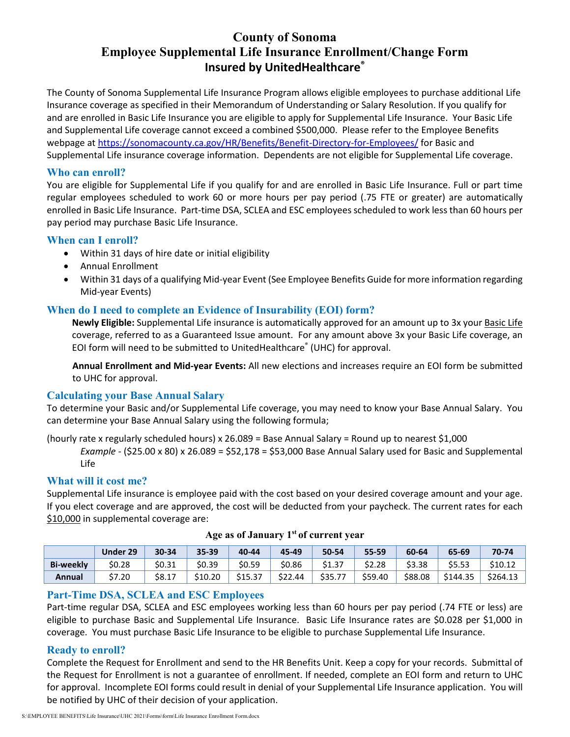## **County of Sonoma Employee Supplemental Life Insurance Enrollment/Change Form Insured by UnitedHealthcare®**

The County of Sonoma Supplemental Life Insurance Program allows eligible employees to purchase additional Life Insurance coverage as specified in their Memorandum of Understanding or Salary Resolution. If you qualify for and are enrolled in Basic Life Insurance you are eligible to apply for Supplemental Life Insurance. Your Basic Life and Supplemental Life coverage cannot exceed a combined \$500,000. Please refer to the Employee Benefits webpage at<https://sonomacounty.ca.gov/HR/Benefits/Benefit-Directory-for-Employees/> for Basic and Supplemental Life insurance coverage information. Dependents are not eligible for Supplemental Life coverage.

### **Who can enroll?**

You are eligible for Supplemental Life if you qualify for and are enrolled in Basic Life Insurance. Full or part time regular employees scheduled to work 60 or more hours per pay period (.75 FTE or greater) are automatically enrolled in Basic Life Insurance. Part-time DSA, SCLEA and ESC employees scheduled to work less than 60 hours per pay period may purchase Basic Life Insurance.

### **When can I enroll?**

- Within 31 days of hire date or initial eligibility
- Annual Enrollment
- Within 31 days of a qualifying Mid-year Event (See Employee Benefits Guide for more information regarding Mid-year Events)

### **When do I need to complete an Evidence of Insurability (EOI) form?**

**Newly Eligible:** Supplemental Life insurance is automatically approved for an amount up to 3x your Basic Life coverage, referred to as a Guaranteed Issue amount. For any amount above 3x your Basic Life coverage, an EOI form will need to be submitted to UnitedHealthcare® (UHC) for approval.

**Annual Enrollment and Mid-year Events:** All new elections and increases require an EOI form be submitted to UHC for approval.

### **Calculating your Base Annual Salary**

To determine your Basic and/or Supplemental Life coverage, you may need to know your Base Annual Salary. You can determine your Base Annual Salary using the following formula;

(hourly rate x regularly scheduled hours) x 26.089 = Base Annual Salary = Round up to nearest \$1,000 *Example* - (\$25.00 x 80) x 26.089 = \$52,178 = \$53,000 Base Annual Salary used for Basic and Supplemental Life

### **What will it cost me?**

Supplemental Life insurance is employee paid with the cost based on your desired coverage amount and your age. If you elect coverage and are approved, the cost will be deducted from your paycheck. The current rates for each \$10,000 in supplemental coverage are:

|                  | <b>Under 29</b> | 30-34  | 35-39   | 40-44   | 45-49   | 50-54            | 55-59   | 60-64   | 65-69    | 70-74    |
|------------------|-----------------|--------|---------|---------|---------|------------------|---------|---------|----------|----------|
| <b>Bi-weekly</b> | \$0.28          | \$0.31 | \$0.39  | \$0.59  | \$0.86  | \$1.37<br>. ت. ۲ | \$2.28  | \$3.38  | \$5.53   | \$10.12  |
| Annual           | \$7.20          | \$8.17 | \$10.20 | \$15.37 | \$22.44 | \$35.77          | \$59.40 | \$88.08 | \$144.35 | \$264.13 |

#### **Age as of January 1st of current year**

### **Part-Time DSA, SCLEA and ESC Employees**

Part-time regular DSA, SCLEA and ESC employees working less than 60 hours per pay period (.74 FTE or less) are eligible to purchase Basic and Supplemental Life Insurance. Basic Life Insurance rates are \$0.028 per \$1,000 in coverage. You must purchase Basic Life Insurance to be eligible to purchase Supplemental Life Insurance.

### **Ready to enroll?**

Complete the Request for Enrollment and send to the HR Benefits Unit. Keep a copy for your records. Submittal of the Request for Enrollment is not a guarantee of enrollment. If needed, complete an EOI form and return to UHC for approval. Incomplete EOI forms could result in denial of your Supplemental Life Insurance application. You will be notified by UHC of their decision of your application.